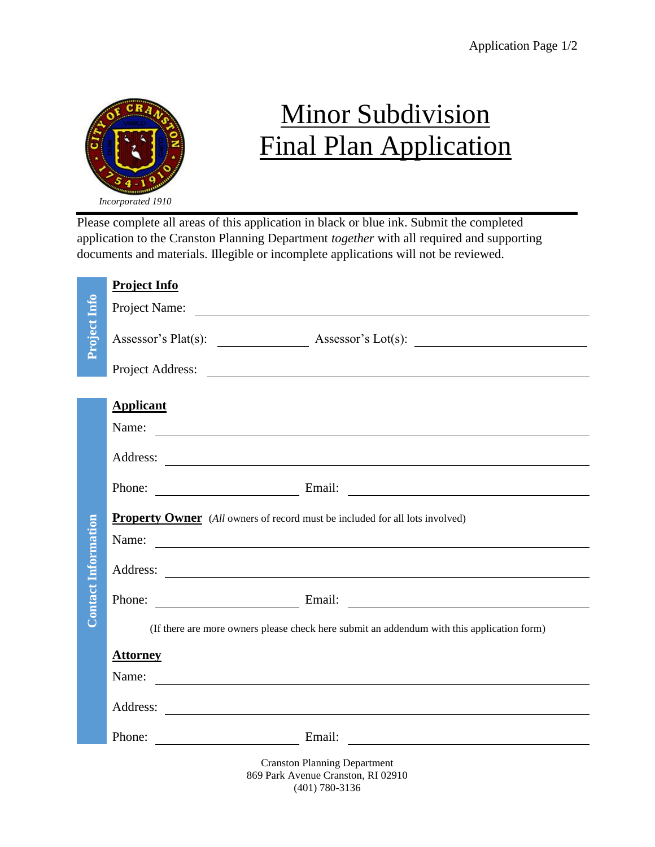

## Minor Subdivision Final Plan Application

Please complete all areas of this application in black or blue ink. Submit the completed application to the Cranston Planning Department *together* with all required and supporting documents and materials. Illegible or incomplete applications will not be reviewed.

|                            | <b>Project Info</b>                                                                                                                                                                                                                  |
|----------------------------|--------------------------------------------------------------------------------------------------------------------------------------------------------------------------------------------------------------------------------------|
|                            | Project Name:                                                                                                                                                                                                                        |
| Project Info               |                                                                                                                                                                                                                                      |
|                            |                                                                                                                                                                                                                                      |
|                            | <b>Applicant</b><br>Name: Name:                                                                                                                                                                                                      |
|                            |                                                                                                                                                                                                                                      |
|                            | Phone: Email: Email:                                                                                                                                                                                                                 |
|                            | <b>Property Owner</b> (All owners of record must be included for all lots involved)                                                                                                                                                  |
|                            | Name: <u>example and the second contract of the second contract of the second contract of the second contract of the second contract of the second contract of the second contract of the second contract of the second contract</u> |
|                            |                                                                                                                                                                                                                                      |
| <b>Contact Information</b> | Phone: Email: Email:                                                                                                                                                                                                                 |
|                            | (If there are more owners please check here submit an addendum with this application form)                                                                                                                                           |
|                            | <b>Attorney</b>                                                                                                                                                                                                                      |
|                            | Name:                                                                                                                                                                                                                                |
|                            |                                                                                                                                                                                                                                      |
|                            | Phone: Email: Email:                                                                                                                                                                                                                 |
|                            | <b>Cranston Planning Department</b><br>869 Park Avenue Cranston, RI 02910                                                                                                                                                            |

(401) 780-3136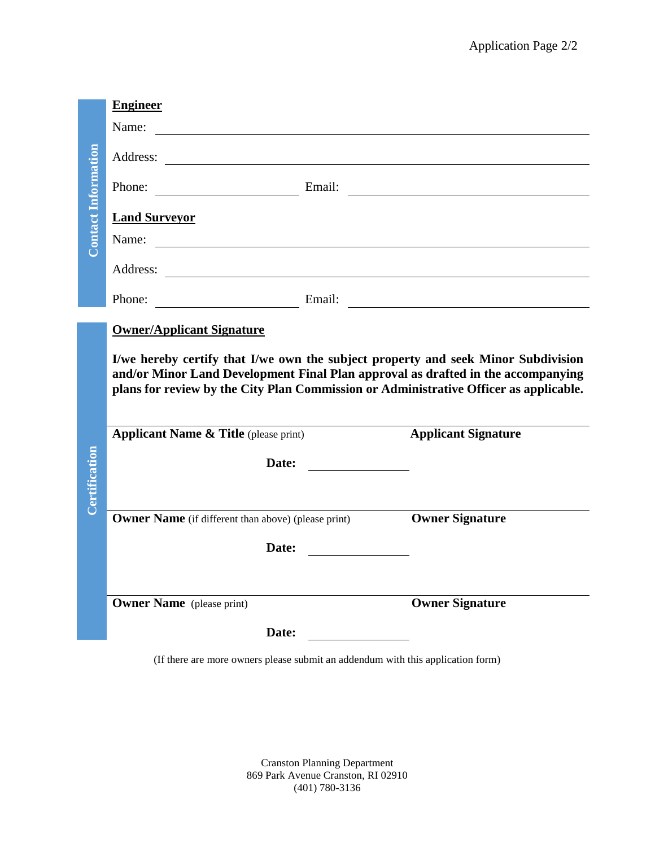|                    | <b>Engineer</b>                                                                                                                                                                                                                                                |                                                                                                                      |                                                                                                                       |
|--------------------|----------------------------------------------------------------------------------------------------------------------------------------------------------------------------------------------------------------------------------------------------------------|----------------------------------------------------------------------------------------------------------------------|-----------------------------------------------------------------------------------------------------------------------|
| ontact Information | Name:                                                                                                                                                                                                                                                          |                                                                                                                      |                                                                                                                       |
|                    |                                                                                                                                                                                                                                                                |                                                                                                                      |                                                                                                                       |
|                    | Phone: Email: Email:                                                                                                                                                                                                                                           |                                                                                                                      |                                                                                                                       |
|                    | <b>Land Surveyor</b><br>Name:                                                                                                                                                                                                                                  |                                                                                                                      |                                                                                                                       |
|                    |                                                                                                                                                                                                                                                                |                                                                                                                      |                                                                                                                       |
|                    | Phone: Email:                                                                                                                                                                                                                                                  |                                                                                                                      | <u> 1989 - Johann Harry Harry Harry Harry Harry Harry Harry Harry Harry Harry Harry Harry Harry Harry Harry Harry</u> |
|                    | <b>Owner/Applicant Signature</b>                                                                                                                                                                                                                               |                                                                                                                      |                                                                                                                       |
|                    |                                                                                                                                                                                                                                                                |                                                                                                                      |                                                                                                                       |
|                    | I/we hereby certify that I/we own the subject property and seek Minor Subdivision<br>and/or Minor Land Development Final Plan approval as drafted in the accompanying<br>plans for review by the City Plan Commission or Administrative Officer as applicable. |                                                                                                                      |                                                                                                                       |
|                    | <b>Applicant Name &amp; Title</b> (please print)                                                                                                                                                                                                               |                                                                                                                      | <b>Applicant Signature</b>                                                                                            |
|                    | Date:                                                                                                                                                                                                                                                          | <u> 1989 - Jan Barbara Barat, prima populație de la provincia de la provincia de la provincia de la provincia de</u> |                                                                                                                       |
| Certification      | <b>Owner Name</b> (if different than above) (please print)                                                                                                                                                                                                     |                                                                                                                      | <b>Owner Signature</b>                                                                                                |
|                    | Date:                                                                                                                                                                                                                                                          |                                                                                                                      |                                                                                                                       |
|                    |                                                                                                                                                                                                                                                                |                                                                                                                      |                                                                                                                       |
|                    | <b>Owner Name</b> (please print)                                                                                                                                                                                                                               |                                                                                                                      | <b>Owner Signature</b>                                                                                                |
|                    | Date:                                                                                                                                                                                                                                                          |                                                                                                                      |                                                                                                                       |

Cranston Planning Department 869 Park Avenue Cranston, RI 02910 (401) 780-3136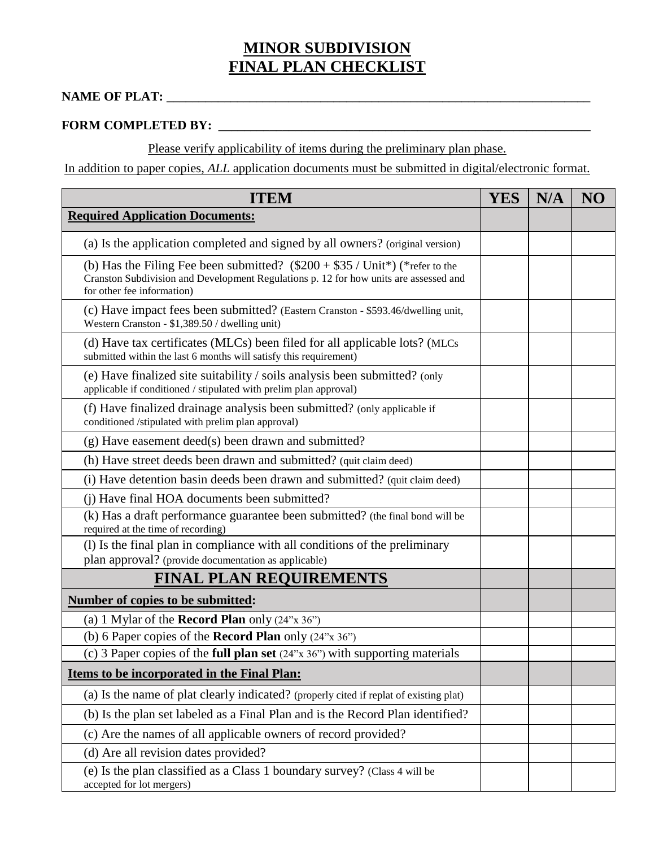## **MINOR SUBDIVISION FINAL PLAN CHECKLIST**

## **NAME OF PLAT: \_\_\_\_\_\_\_\_\_\_\_\_\_\_\_\_\_\_\_\_\_\_\_\_\_\_\_\_\_\_\_\_\_\_\_\_\_\_\_\_\_\_\_\_\_\_\_\_\_\_\_\_\_\_\_\_\_\_\_\_\_\_\_\_\_\_**

## **FORM COMPLETED BY: \_\_\_\_\_\_\_\_\_\_\_\_\_\_\_\_\_\_\_\_\_\_\_\_\_\_\_\_\_\_\_\_\_\_\_\_\_\_\_\_\_\_\_\_\_\_\_\_\_\_\_\_\_\_\_\_\_\_**

Please verify applicability of items during the preliminary plan phase.

In addition to paper copies, *ALL* application documents must be submitted in digital/electronic format.

| <b>ITEM</b>                                                                                                                                                                                            | <b>YES</b> | N/A | NO |
|--------------------------------------------------------------------------------------------------------------------------------------------------------------------------------------------------------|------------|-----|----|
| <b>Required Application Documents:</b>                                                                                                                                                                 |            |     |    |
| (a) Is the application completed and signed by all owners? (original version)                                                                                                                          |            |     |    |
| (b) Has the Filing Fee been submitted? $(\$200 + \$35 / Unit^*)$ (*refer to the<br>Cranston Subdivision and Development Regulations p. 12 for how units are assessed and<br>for other fee information) |            |     |    |
| (c) Have impact fees been submitted? (Eastern Cranston - \$593.46/dwelling unit,<br>Western Cranston - \$1,389.50 / dwelling unit)                                                                     |            |     |    |
| (d) Have tax certificates (MLCs) been filed for all applicable lots? (MLCs<br>submitted within the last 6 months will satisfy this requirement)                                                        |            |     |    |
| (e) Have finalized site suitability / soils analysis been submitted? (only<br>applicable if conditioned / stipulated with prelim plan approval)                                                        |            |     |    |
| (f) Have finalized drainage analysis been submitted? (only applicable if<br>conditioned /stipulated with prelim plan approval)                                                                         |            |     |    |
| $(g)$ Have easement deed $(s)$ been drawn and submitted?                                                                                                                                               |            |     |    |
| (h) Have street deeds been drawn and submitted? (quit claim deed)                                                                                                                                      |            |     |    |
| (i) Have detention basin deeds been drawn and submitted? (quit claim deed)                                                                                                                             |            |     |    |
| (i) Have final HOA documents been submitted?                                                                                                                                                           |            |     |    |
| (k) Has a draft performance guarantee been submitted? (the final bond will be<br>required at the time of recording)                                                                                    |            |     |    |
| (1) Is the final plan in compliance with all conditions of the preliminary<br>plan approval? (provide documentation as applicable)                                                                     |            |     |    |
| <b>FINAL PLAN REQUIREMENTS</b>                                                                                                                                                                         |            |     |    |
| <b>Number of copies to be submitted:</b>                                                                                                                                                               |            |     |    |
| (a) 1 Mylar of the <b>Record Plan</b> only $(24" \times 36")$                                                                                                                                          |            |     |    |
| (b) 6 Paper copies of the <b>Record Plan</b> only $(24" \times 36")$                                                                                                                                   |            |     |    |
| (c) 3 Paper copies of the full plan set $(24$ "x $36$ ") with supporting materials                                                                                                                     |            |     |    |
| <b>Items to be incorporated in the Final Plan:</b>                                                                                                                                                     |            |     |    |
| (a) Is the name of plat clearly indicated? (properly cited if replat of existing plat)                                                                                                                 |            |     |    |
| (b) Is the plan set labeled as a Final Plan and is the Record Plan identified?                                                                                                                         |            |     |    |
| (c) Are the names of all applicable owners of record provided?                                                                                                                                         |            |     |    |
| (d) Are all revision dates provided?                                                                                                                                                                   |            |     |    |
| (e) Is the plan classified as a Class 1 boundary survey? (Class 4 will be<br>accepted for lot mergers)                                                                                                 |            |     |    |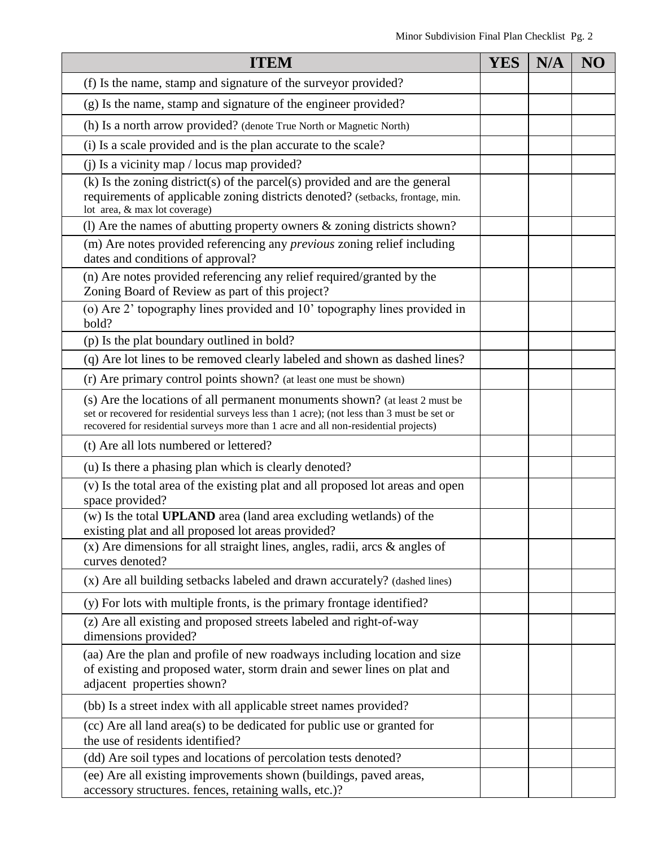| <b>ITEM</b>                                                                                                                                                                                                                                                        | YES | N/A | NO |
|--------------------------------------------------------------------------------------------------------------------------------------------------------------------------------------------------------------------------------------------------------------------|-----|-----|----|
| (f) Is the name, stamp and signature of the surveyor provided?                                                                                                                                                                                                     |     |     |    |
| (g) Is the name, stamp and signature of the engineer provided?                                                                                                                                                                                                     |     |     |    |
| (h) Is a north arrow provided? (denote True North or Magnetic North)                                                                                                                                                                                               |     |     |    |
| (i) Is a scale provided and is the plan accurate to the scale?                                                                                                                                                                                                     |     |     |    |
| (j) Is a vicinity map / locus map provided?                                                                                                                                                                                                                        |     |     |    |
| (k) Is the zoning district(s) of the parcel(s) provided and are the general<br>requirements of applicable zoning districts denoted? (setbacks, frontage, min.<br>lot area, & max lot coverage)                                                                     |     |     |    |
| (1) Are the names of abutting property owners $\&$ zoning districts shown?                                                                                                                                                                                         |     |     |    |
| (m) Are notes provided referencing any <i>previous</i> zoning relief including<br>dates and conditions of approval?                                                                                                                                                |     |     |    |
| (n) Are notes provided referencing any relief required/granted by the<br>Zoning Board of Review as part of this project?                                                                                                                                           |     |     |    |
| (o) Are 2' topography lines provided and 10' topography lines provided in<br>bold?                                                                                                                                                                                 |     |     |    |
| (p) Is the plat boundary outlined in bold?                                                                                                                                                                                                                         |     |     |    |
| (q) Are lot lines to be removed clearly labeled and shown as dashed lines?                                                                                                                                                                                         |     |     |    |
| (r) Are primary control points shown? (at least one must be shown)                                                                                                                                                                                                 |     |     |    |
| (s) Are the locations of all permanent monuments shown? (at least 2 must be<br>set or recovered for residential surveys less than 1 acre); (not less than 3 must be set or<br>recovered for residential surveys more than 1 acre and all non-residential projects) |     |     |    |
| (t) Are all lots numbered or lettered?                                                                                                                                                                                                                             |     |     |    |
| (u) Is there a phasing plan which is clearly denoted?                                                                                                                                                                                                              |     |     |    |
| (v) Is the total area of the existing plat and all proposed lot areas and open<br>space provided?                                                                                                                                                                  |     |     |    |
| (w) Is the total <b>UPLAND</b> area (land area excluding wetlands) of the<br>existing plat and all proposed lot areas provided?                                                                                                                                    |     |     |    |
| $(x)$ Are dimensions for all straight lines, angles, radii, arcs $\&$ angles of<br>curves denoted?                                                                                                                                                                 |     |     |    |
| (x) Are all building setbacks labeled and drawn accurately? (dashed lines)                                                                                                                                                                                         |     |     |    |
| (y) For lots with multiple fronts, is the primary frontage identified?                                                                                                                                                                                             |     |     |    |
| (z) Are all existing and proposed streets labeled and right-of-way<br>dimensions provided?                                                                                                                                                                         |     |     |    |
| (aa) Are the plan and profile of new roadways including location and size<br>of existing and proposed water, storm drain and sewer lines on plat and<br>adjacent properties shown?                                                                                 |     |     |    |
| (bb) Is a street index with all applicable street names provided?                                                                                                                                                                                                  |     |     |    |
| (cc) Are all land area(s) to be dedicated for public use or granted for<br>the use of residents identified?                                                                                                                                                        |     |     |    |
| (dd) Are soil types and locations of percolation tests denoted?                                                                                                                                                                                                    |     |     |    |
| (ee) Are all existing improvements shown (buildings, paved areas,<br>accessory structures. fences, retaining walls, etc.)?                                                                                                                                         |     |     |    |